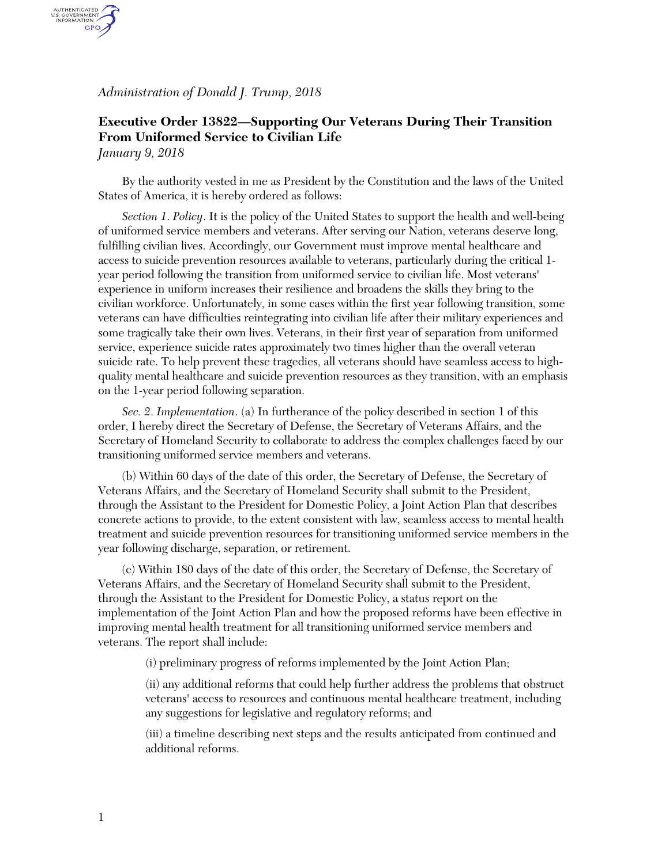*Administration of Donald J. Trump, 2018*

AUTHENTICATED<br>U.S. GOVERNMENT<br>INFORMATION GPO

## **Executive Order 13822—Supporting Our Veterans During Their Transition From Uniformed Service to Civilian Life** *January 9, 2018*

By the authority vested in me as President by the Constitution and the laws of the United States of America, it is hereby ordered as follows:

*Section 1*. *Policy*. It is the policy of the United States to support the health and well-being of uniformed service members and veterans. After serving our Nation, veterans deserve long, fulfilling civilian lives. Accordingly, our Government must improve mental healthcare and access to suicide prevention resources available to veterans, particularly during the critical 1 year period following the transition from uniformed service to civilian life. Most veterans' experience in uniform increases their resilience and broadens the skills they bring to the civilian workforce. Unfortunately, in some cases within the first year following transition, some veterans can have difficulties reintegrating into civilian life after their military experiences and some tragically take their own lives. Veterans, in their first year of separation from uniformed service, experience suicide rates approximately two times higher than the overall veteran suicide rate. To help prevent these tragedies, all veterans should have seamless access to highquality mental healthcare and suicide prevention resources as they transition, with an emphasis on the 1-year period following separation.

*Sec. 2*. *Implementation*. (a) In furtherance of the policy described in section 1 of this order, I hereby direct the Secretary of Defense, the Secretary of Veterans Affairs, and the Secretary of Homeland Security to collaborate to address the complex challenges faced by our transitioning uniformed service members and veterans.

(b) Within 60 days of the date of this order, the Secretary of Defense, the Secretary of Veterans Affairs, and the Secretary of Homeland Security shall submit to the President, through the Assistant to the President for Domestic Policy, a Joint Action Plan that describes concrete actions to provide, to the extent consistent with law, seamless access to mental health treatment and suicide prevention resources for transitioning uniformed service members in the year following discharge, separation, or retirement.

(c) Within 180 days of the date of this order, the Secretary of Defense, the Secretary of Veterans Affairs, and the Secretary of Homeland Security shall submit to the President, through the Assistant to the President for Domestic Policy, a status report on the implementation of the Joint Action Plan and how the proposed reforms have been effective in improving mental health treatment for all transitioning uniformed service members and veterans. The report shall include:

(i) preliminary progress of reforms implemented by the Joint Action Plan;

(ii) any additional reforms that could help further address the problems that obstruct veterans' access to resources and continuous mental healthcare treatment, including any suggestions for legislative and regulatory reforms; and

(iii) a timeline describing next steps and the results anticipated from continued and additional reforms.